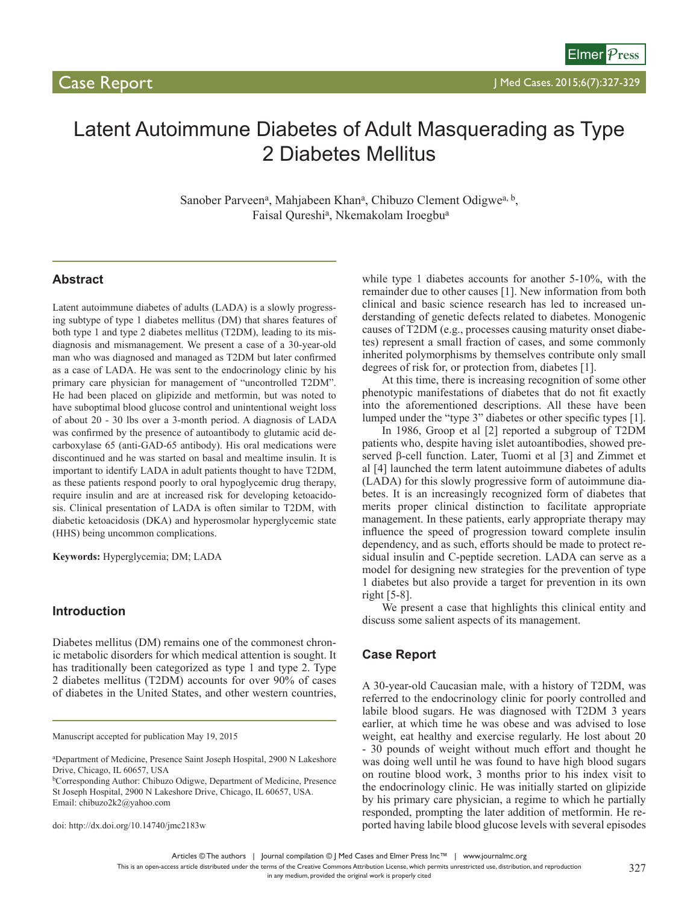# Latent Autoimmune Diabetes of Adult Masquerading as Type 2 Diabetes Mellitus

Sanober Parveen<sup>a</sup>, Mahjabeen Khan<sup>a</sup>, Chibuzo Clement Odigwe<sup>a, b</sup>, Faisal Qureshi<sup>a</sup>, Nkemakolam Iroegbu<sup>a</sup>

# **Abstract**

Latent autoimmune diabetes of adults (LADA) is a slowly progressing subtype of type 1 diabetes mellitus (DM) that shares features of both type 1 and type 2 diabetes mellitus (T2DM), leading to its misdiagnosis and mismanagement. We present a case of a 30-year-old man who was diagnosed and managed as T2DM but later confirmed as a case of LADA. He was sent to the endocrinology clinic by his primary care physician for management of "uncontrolled T2DM". He had been placed on glipizide and metformin, but was noted to have suboptimal blood glucose control and unintentional weight loss of about 20 - 30 lbs over a 3-month period. A diagnosis of LADA was confirmed by the presence of autoantibody to glutamic acid decarboxylase 65 (anti-GAD-65 antibody). His oral medications were discontinued and he was started on basal and mealtime insulin. It is important to identify LADA in adult patients thought to have T2DM, as these patients respond poorly to oral hypoglycemic drug therapy, require insulin and are at increased risk for developing ketoacidosis. Clinical presentation of LADA is often similar to T2DM, with diabetic ketoacidosis (DKA) and hyperosmolar hyperglycemic state (HHS) being uncommon complications.

**Keywords:** Hyperglycemia; DM; LADA

## **Introduction**

Diabetes mellitus (DM) remains one of the commonest chronic metabolic disorders for which medical attention is sought. It has traditionally been categorized as type 1 and type 2. Type 2 diabetes mellitus (T2DM) accounts for over 90% of cases of diabetes in the United States, and other western countries,

Manuscript accepted for publication May 19, 2015

doi: http://dx.doi.org/10.14740/jmc2183w

while type 1 diabetes accounts for another 5-10%, with the remainder due to other causes [1]. New information from both clinical and basic science research has led to increased understanding of genetic defects related to diabetes. Monogenic causes of T2DM (e.g., processes causing maturity onset diabetes) represent a small fraction of cases, and some commonly inherited polymorphisms by themselves contribute only small degrees of risk for, or protection from, diabetes [1].

At this time, there is increasing recognition of some other phenotypic manifestations of diabetes that do not fit exactly into the aforementioned descriptions. All these have been lumped under the "type 3" diabetes or other specific types [1].

In 1986, Groop et al [2] reported a subgroup of T2DM patients who, despite having islet autoantibodies, showed preserved β-cell function. Later, Tuomi et al [3] and Zimmet et al [4] launched the term latent autoimmune diabetes of adults (LADA) for this slowly progressive form of autoimmune diabetes. It is an increasingly recognized form of diabetes that merits proper clinical distinction to facilitate appropriate management. In these patients, early appropriate therapy may influence the speed of progression toward complete insulin dependency, and as such, efforts should be made to protect residual insulin and C-peptide secretion. LADA can serve as a model for designing new strategies for the prevention of type 1 diabetes but also provide a target for prevention in its own right [5-8].

We present a case that highlights this clinical entity and discuss some salient aspects of its management.

#### **Case Report**

A 30-year-old Caucasian male, with a history of T2DM, was referred to the endocrinology clinic for poorly controlled and labile blood sugars. He was diagnosed with T2DM 3 years earlier, at which time he was obese and was advised to lose weight, eat healthy and exercise regularly. He lost about 20 - 30 pounds of weight without much effort and thought he was doing well until he was found to have high blood sugars on routine blood work, 3 months prior to his index visit to the endocrinology clinic. He was initially started on glipizide by his primary care physician, a regime to which he partially responded, prompting the later addition of metformin. He reported having labile blood glucose levels with several episodes

Articles © The authors | Journal compilation © J Med Cases and Elmer Press Inc™ | www.journalmc.org

This is an open-access article distributed under the terms of the Creative Commons Attribution License, which permits unrestricted use, distribution, and reproduction

a Department of Medicine, Presence Saint Joseph Hospital, 2900 N Lakeshore Drive, Chicago, IL 60657, USA

bCorresponding Author: Chibuzo Odigwe, Department of Medicine, Presence St Joseph Hospital, 2900 N Lakeshore Drive, Chicago, IL 60657, USA. Email: chibuzo2k2@yahoo.com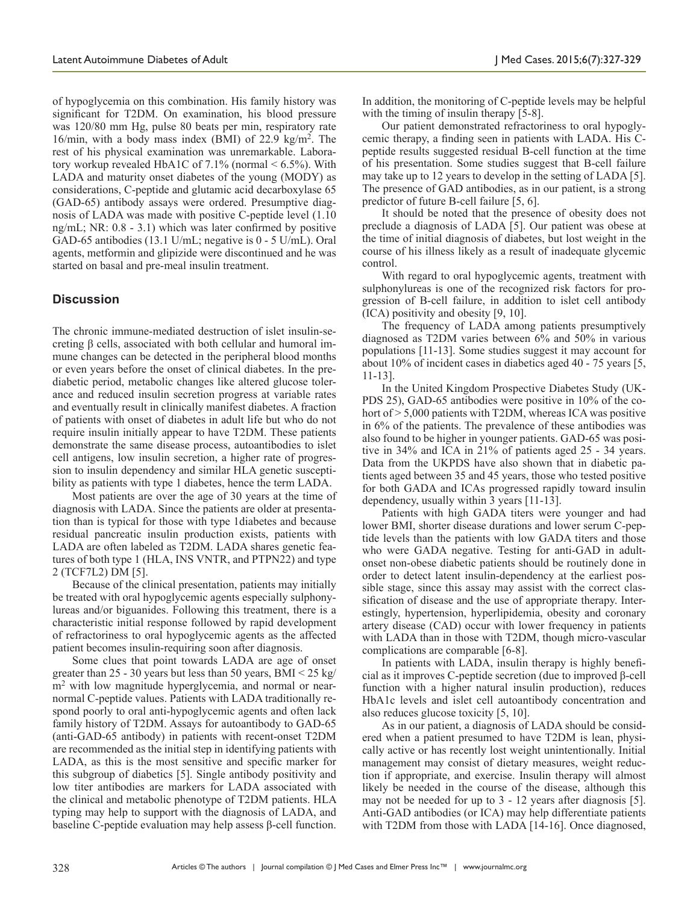of hypoglycemia on this combination. His family history was significant for T2DM. On examination, his blood pressure was 120/80 mm Hg, pulse 80 beats per min, respiratory rate 16/min, with a body mass index (BMI) of 22.9 kg/m2. The rest of his physical examination was unremarkable. Laboratory workup revealed HbA1C of  $7.1\%$  (normal  $\leq 6.5\%$ ). With LADA and maturity onset diabetes of the young (MODY) as considerations, C-peptide and glutamic acid decarboxylase 65 (GAD-65) antibody assays were ordered. Presumptive diagnosis of LADA was made with positive C-peptide level (1.10 ng/mL; NR: 0.8 - 3.1) which was later confirmed by positive GAD-65 antibodies (13.1 U/mL; negative is 0 - 5 U/mL). Oral agents, metformin and glipizide were discontinued and he was started on basal and pre-meal insulin treatment.

# **Discussion**

The chronic immune-mediated destruction of islet insulin-secreting β cells, associated with both cellular and humoral immune changes can be detected in the peripheral blood months or even years before the onset of clinical diabetes. In the prediabetic period, metabolic changes like altered glucose tolerance and reduced insulin secretion progress at variable rates and eventually result in clinically manifest diabetes. A fraction of patients with onset of diabetes in adult life but who do not require insulin initially appear to have T2DM. These patients demonstrate the same disease process, autoantibodies to islet cell antigens, low insulin secretion, a higher rate of progression to insulin dependency and similar HLA genetic susceptibility as patients with type 1 diabetes, hence the term LADA.

Most patients are over the age of 30 years at the time of diagnosis with LADA. Since the patients are older at presentation than is typical for those with type 1diabetes and because residual pancreatic insulin production exists, patients with LADA are often labeled as T2DM. LADA shares genetic features of both type 1 (HLA, INS VNTR, and PTPN22) and type 2 (TCF7L2) DM [5].

Because of the clinical presentation, patients may initially be treated with oral hypoglycemic agents especially sulphonylureas and/or biguanides. Following this treatment, there is a characteristic initial response followed by rapid development of refractoriness to oral hypoglycemic agents as the affected patient becomes insulin-requiring soon after diagnosis.

Some clues that point towards LADA are age of onset greater than 25 - 30 years but less than 50 years, BMI  $\leq$  25 kg/  $m<sup>2</sup>$  with low magnitude hyperglycemia, and normal or nearnormal C-peptide values. Patients with LADA traditionally respond poorly to oral anti-hypoglycemic agents and often lack family history of T2DM. Assays for autoantibody to GAD-65 (anti-GAD-65 antibody) in patients with recent-onset T2DM are recommended as the initial step in identifying patients with LADA, as this is the most sensitive and specific marker for this subgroup of diabetics [5]. Single antibody positivity and low titer antibodies are markers for LADA associated with the clinical and metabolic phenotype of T2DM patients. HLA typing may help to support with the diagnosis of LADA, and baseline C-peptide evaluation may help assess β-cell function.

In addition, the monitoring of C-peptide levels may be helpful with the timing of insulin therapy [5-8].

Our patient demonstrated refractoriness to oral hypoglycemic therapy, a finding seen in patients with LADA. His Cpeptide results suggested residual B-cell function at the time of his presentation. Some studies suggest that B-cell failure may take up to 12 years to develop in the setting of LADA [5]. The presence of GAD antibodies, as in our patient, is a strong predictor of future B-cell failure [5, 6].

It should be noted that the presence of obesity does not preclude a diagnosis of LADA [5]. Our patient was obese at the time of initial diagnosis of diabetes, but lost weight in the course of his illness likely as a result of inadequate glycemic control.

With regard to oral hypoglycemic agents, treatment with sulphonylureas is one of the recognized risk factors for progression of B-cell failure, in addition to islet cell antibody (ICA) positivity and obesity [9, 10].

The frequency of LADA among patients presumptively diagnosed as T2DM varies between 6% and 50% in various populations [11-13]. Some studies suggest it may account for about 10% of incident cases in diabetics aged 40 - 75 years [5, 11-13].

In the United Kingdom Prospective Diabetes Study (UK-PDS 25), GAD-65 antibodies were positive in 10% of the cohort of  $> 5,000$  patients with T2DM, whereas ICA was positive in 6% of the patients. The prevalence of these antibodies was also found to be higher in younger patients. GAD-65 was positive in 34% and ICA in 21% of patients aged 25 - 34 years. Data from the UKPDS have also shown that in diabetic patients aged between 35 and 45 years, those who tested positive for both GADA and ICAs progressed rapidly toward insulin dependency, usually within 3 years [11-13].

Patients with high GADA titers were younger and had lower BMI, shorter disease durations and lower serum C-peptide levels than the patients with low GADA titers and those who were GADA negative. Testing for anti-GAD in adultonset non-obese diabetic patients should be routinely done in order to detect latent insulin-dependency at the earliest possible stage, since this assay may assist with the correct classification of disease and the use of appropriate therapy. Interestingly, hypertension, hyperlipidemia, obesity and coronary artery disease (CAD) occur with lower frequency in patients with LADA than in those with T2DM, though micro-vascular complications are comparable [6-8].

In patients with LADA, insulin therapy is highly beneficial as it improves C-peptide secretion (due to improved β-cell function with a higher natural insulin production), reduces HbA1c levels and islet cell autoantibody concentration and also reduces glucose toxicity [5, 10].

As in our patient, a diagnosis of LADA should be considered when a patient presumed to have T2DM is lean, physically active or has recently lost weight unintentionally. Initial management may consist of dietary measures, weight reduction if appropriate, and exercise. Insulin therapy will almost likely be needed in the course of the disease, although this may not be needed for up to 3 - 12 years after diagnosis [5]. Anti-GAD antibodies (or ICA) may help differentiate patients with T2DM from those with LADA [14-16]. Once diagnosed,